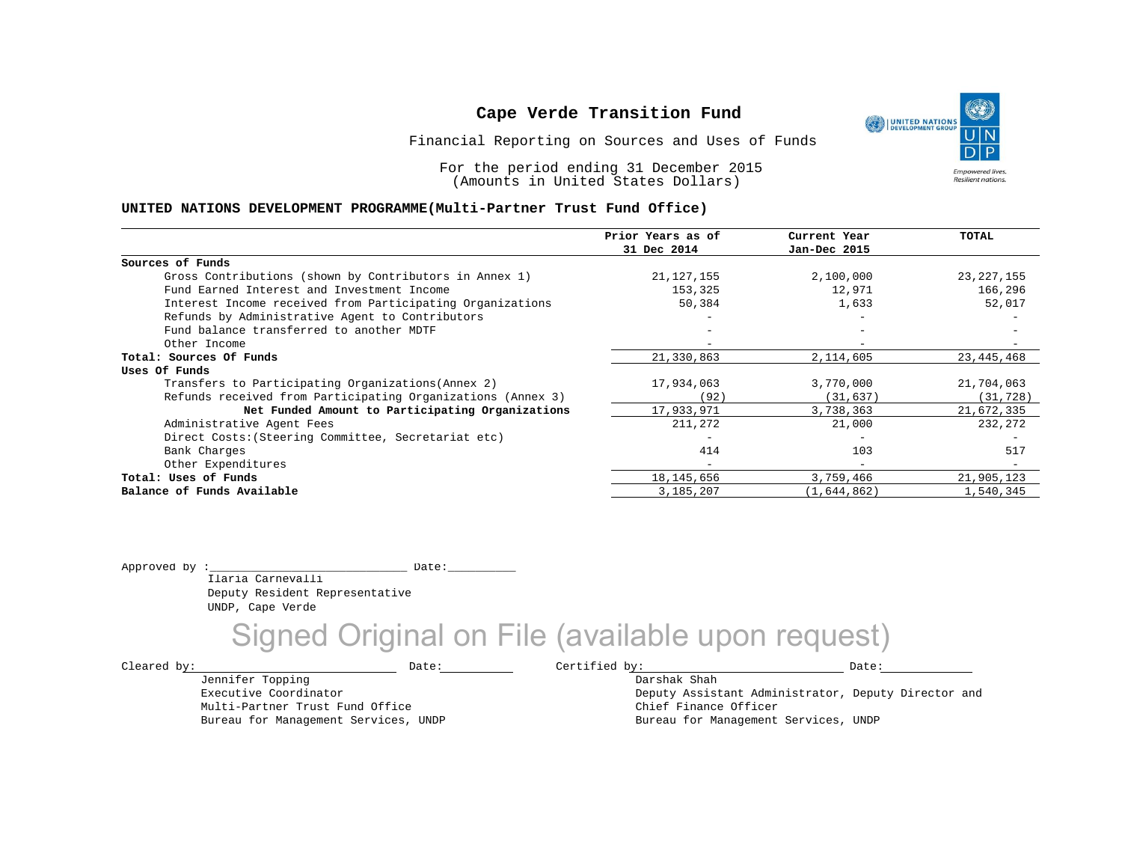Financial Reporting on Sources and Uses of Funds

For the period ending 31 December 2015 (Amounts in United States Dollars)

#### **UNITED NATIONS DEVELOPMENT PROGRAMME(Multi-Partner Trust Fund Office)**

|                                                             | Prior Years as of | Current Year             | <b>TOTAL</b> |
|-------------------------------------------------------------|-------------------|--------------------------|--------------|
|                                                             | 31 Dec 2014       | Jan-Dec 2015             |              |
| Sources of Funds                                            |                   |                          |              |
| Gross Contributions (shown by Contributors in Annex 1)      | 21, 127, 155      | 2,100,000                | 23, 227, 155 |
| Fund Earned Interest and Investment Income                  | 153,325           | 12,971                   | 166,296      |
| Interest Income received from Participating Organizations   | 50,384            | 1,633                    | 52,017       |
| Refunds by Administrative Agent to Contributors             |                   | $-$                      |              |
| Fund balance transferred to another MDTF                    |                   |                          |              |
| Other Income                                                |                   |                          |              |
| Total: Sources Of Funds                                     | 21,330,863        | 2,114,605                | 23,445,468   |
| Uses Of Funds                                               |                   |                          |              |
| Transfers to Participating Organizations (Annex 2)          | 17,934,063        | 3,770,000                | 21,704,063   |
| Refunds received from Participating Organizations (Annex 3) | (92)              | (31, 637)                | (31, 728)    |
| Net Funded Amount to Participating Organizations            | 17,933,971        | 3,738,363                | 21,672,335   |
| Administrative Agent Fees                                   | 211,272           | 21,000                   | 232,272      |
| Direct Costs: (Steering Committee, Secretariat etc)         |                   | $\overline{\phantom{0}}$ |              |
| Bank Charges                                                | 414               | 103                      | 517          |
| Other Expenditures                                          |                   | $\overline{\phantom{a}}$ |              |
| Total: Uses of Funds                                        | 18, 145, 656      | 3,759,466                | 21,905,123   |
| Balance of Funds Available                                  | 3,185,207         | (1,644,862)              | 1,540,345    |
|                                                             |                   |                          |              |

Approved by :\_\_\_\_\_\_\_\_\_\_\_\_\_\_\_\_\_\_\_\_\_\_\_\_\_\_\_\_\_ Date:\_\_\_\_\_\_\_\_\_\_

Jennifer Topping Executive Coordinator

Ilaria Carnevalli Deputy Resident Representative UNDP, Cape Verde

Multi-Partner Trust Fund Office Bureau for Management Services, UNDP

Signed Original on File (available upon request)

 $\texttt{Cleared by:}\footnotesize \begin{minipage}{0.9\linewidth} \texttt{Date:}\footnotesize \begin{minipage}{0.9\linewidth} \texttt{Date:}\footnotesize \begin{minipage}{0.9\linewidth} \end{minipage} \end{minipage}$ 

Darshak Shah

Deputy Assistant Administrator, Deputy Director and Chief Finance Officer Bureau for Management Services, UNDP

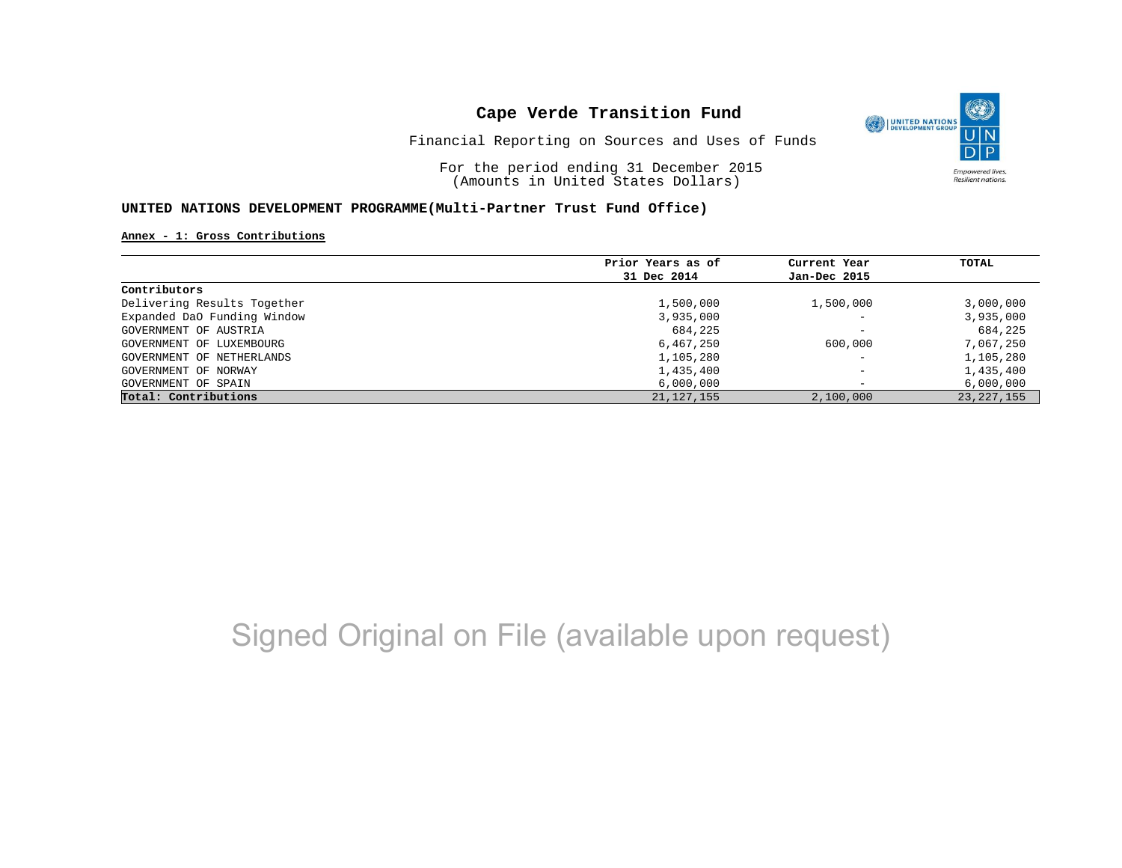

Financial Reporting on Sources and Uses of Funds

For the period ending 31 December 2015 (Amounts in United States Dollars)

#### **UNITED NATIONS DEVELOPMENT PROGRAMME(Multi-Partner Trust Fund Office)**

#### **Annex - 1: Gross Contributions**

|                             | Prior Years as of | Current Year             | TOTAL        |
|-----------------------------|-------------------|--------------------------|--------------|
|                             | 31 Dec 2014       | Jan-Dec 2015             |              |
| Contributors                |                   |                          |              |
| Delivering Results Together | 1,500,000         | 1,500,000                | 3,000,000    |
| Expanded DaO Funding Window | 3,935,000         | $\overline{\phantom{0}}$ | 3,935,000    |
| GOVERNMENT OF AUSTRIA       | 684,225           | $\overline{\phantom{0}}$ | 684,225      |
| GOVERNMENT OF LUXEMBOURG    | 6,467,250         | 600,000                  | 7,067,250    |
| GOVERNMENT OF NETHERLANDS   | 1,105,280         | $\overline{\phantom{a}}$ | 1,105,280    |
| GOVERNMENT OF NORWAY        | 1,435,400         | $\overline{\phantom{0}}$ | 1,435,400    |
| GOVERNMENT OF SPAIN         | 6,000,000         | -                        | 6,000,000    |
| Total: Contributions        | 21, 127, 155      | 2,100,000                | 23, 227, 155 |

# Signed Original on File (available upon request)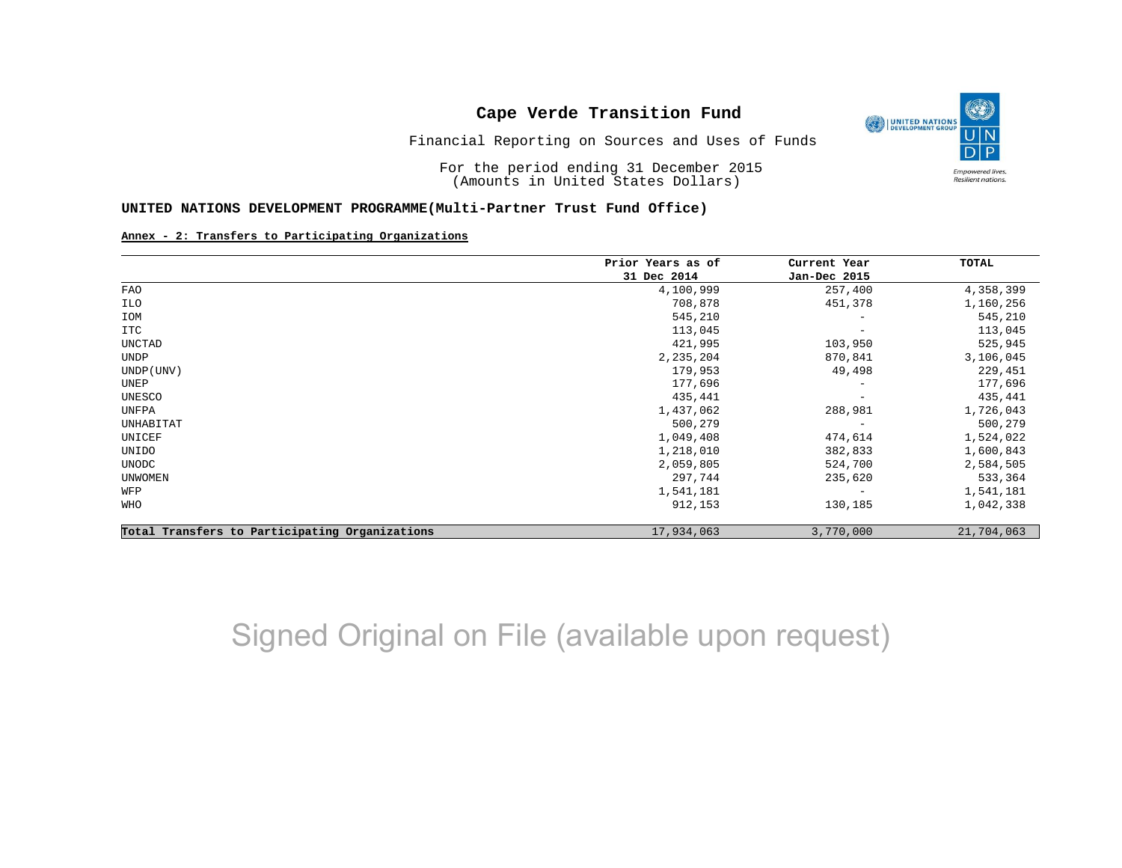

Financial Reporting on Sources and Uses of Funds

For the period ending 31 December 2015 (Amounts in United States Dollars)

#### **UNITED NATIONS DEVELOPMENT PROGRAMME(Multi-Partner Trust Fund Office)**

#### **Annex - 2: Transfers to Participating Organizations**

|                                                | Prior Years as of | Current Year             | TOTAL      |
|------------------------------------------------|-------------------|--------------------------|------------|
|                                                | 31 Dec 2014       | Jan-Dec 2015             |            |
| FAO                                            | 4,100,999         | 257,400                  | 4,358,399  |
| ILO                                            | 708,878           | 451,378                  | 1,160,256  |
| IOM                                            | 545,210           | $\overline{\phantom{0}}$ | 545,210    |
| ITC                                            | 113,045           | $\qquad \qquad -$        | 113,045    |
| UNCTAD                                         | 421,995           | 103,950                  | 525,945    |
| UNDP                                           | 2,235,204         | 870,841                  | 3,106,045  |
| UNDP (UNV)                                     | 179,953           | 49,498                   | 229,451    |
| UNEP                                           | 177,696           | $\qquad \qquad -$        | 177,696    |
| UNESCO                                         | 435,441           | $\overline{\phantom{0}}$ | 435,441    |
| UNFPA                                          | 1,437,062         | 288,981                  | 1,726,043  |
| UNHABITAT                                      | 500,279           | $\overline{\phantom{m}}$ | 500,279    |
| UNICEF                                         | 1,049,408         | 474,614                  | 1,524,022  |
| UNIDO                                          | 1,218,010         | 382,833                  | 1,600,843  |
| UNODC                                          | 2,059,805         | 524,700                  | 2,584,505  |
| <b>UNWOMEN</b>                                 | 297,744           | 235,620                  | 533,364    |
| WFP                                            | 1,541,181         | $\overline{\phantom{m}}$ | 1,541,181  |
| WHO                                            | 912,153           | 130,185                  | 1,042,338  |
| Total Transfers to Participating Organizations | 17,934,063        | 3,770,000                | 21,704,063 |

# Signed Original on File (available upon request)